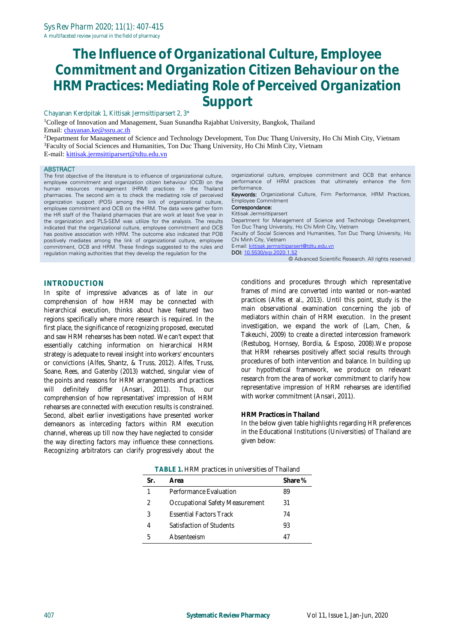Chayanan Kerdpitak 1, Kittisak Jermsittiparsert 2, 3\*

<sup>1</sup>College of Innovation and Management, Suan Sunandha Rajabhat University, Bangkok, Thailand Email: [chayanan.ke@ssru.ac.th](mailto:chayanan.ke@ssru.ac.th)

<sup>2</sup>Department for Management of Science and Technology Development, Ton Duc Thang University, Ho Chi Minh City, Vietnam <sup>3</sup>Faculty of Social Sciences and Humanities, Ton Duc Thang University, Ho Chi Minh City, Vietnam E-mail: [kittisak.jermsittiparsert@tdtu.edu.vn](mailto:kittisak.jermsittiparsert@tdtu.edu.vn)

#### **ABSTRACT**

The first objective of the literature is to influence of organizational culture, employee commitment and organization citizen behaviour (OCB) on the human resources management (HRM) practices in the Thailand pharmacies. The second aim is to check the mediating role of perceived organization support (POS) among the link of organizational culture, employee commitment and OCB on the HRM. The data were gather form the HR staff of the Thailand pharmacies that are work at least five year in the organization and PLS-SEM was utilize for the analysis. The results indicated that the organizational culture, employee commitment and OCB has positive association with HRM. The outcome also indicated that POB positively mediates among the link of organizational culture, employee commitment, OCB and HRM. These findings suggested to the rules and regulation making authorities that they develop the regulation for the

organizational culture, employee commitment and OCB that enhance performance of HRM practices that ultimately enhance the firm performance.

Keywords: Organizational Culture, Firm Performance, HRM Practices, Employee Commitment

Correspondance: Kittisak Jermsittiparsert

Department for Management of Science and Technology Development, Ton Duc Thang University, Ho Chi Minh City, Vietnam

Faculty of Social Sciences and Humanities, Ton Duc Thang University, Ho Chi Minh City, Vietnam

E-mail[: kittisak.jermsittiparsert@tdtu.edu.vn](mailto:kittisak.jermsittiparsert@tdtu.edu.vn) DOI[: 10.5530/srp.2020.1.52](http://dx.doi.org/10.5530/srp.2019.2.04)

© Advanced Scientific Research. All rights reserved

## **INTRODUCTION**

In spite of impressive advances as of late in our comprehension of how HRM may be connected with hierarchical execution, thinks about have featured two regions specifically where more research is required. In the first place, the significance of recognizing proposed, executed and saw HRM rehearses has been noted. We can't expect that essentially catching information on hierarchical HRM strategy is adequate to reveal insight into workers' encounters or convictions (Alfes, Shantz, & Truss, 2012). Alfes, Truss, Soane, Rees, and Gatenby (2013) watched, singular view of the points and reasons for HRM arrangements and practices will definitely differ (Ansari, 2011). Thus, our comprehension of how representatives' impression of HRM rehearses are connected with execution results is constrained. Second, albeit earlier investigations have presented worker demeanors as interceding factors within RM execution channel, whereas up till now they have neglected to consider the way directing factors may influence these connections. Recognizing arbitrators can clarify progressively about the

conditions and procedures through which representative frames of mind are converted into wanted or non-wanted practices (Alfes et al., 2013). Until this point, study is the main observational examination concerning the job of mediators within chain of HRM execution. In the present investigation, we expand the work of (Lam, Chen, & Takeuchi, 2009) to create a directed intercession framework (Restubog, Hornsey, Bordia, & Esposo, 2008).We propose that HRM rehearses positively affect social results through procedures of both intervention and balance. In building up our hypothetical framework, we produce on relevant research from the area of worker commitment to clarify how representative impression of HRM rehearses are identified with worker commitment (Ansari, 2011).

### **HRM Practices in Thailand**

In the below given table highlights regarding HR preferences in the Educational Institutions (Universities) of Thailand are given below:

| TADLE T. FIRIVE DE dUITES ILLUITIVELSITIES OF THAIRE IU |                                 |         |  |  |  |  |
|---------------------------------------------------------|---------------------------------|---------|--|--|--|--|
| Sr.                                                     | Area                            | Share % |  |  |  |  |
| 1                                                       | Performance Evaluation          | 89      |  |  |  |  |
| 2                                                       | Occupational Safety Measurement | 31      |  |  |  |  |
| 3                                                       | <b>Essential Eactors Track</b>  | 74      |  |  |  |  |
| 4                                                       | Satisfaction of Students        | 93      |  |  |  |  |
| 5                                                       | Absenteeism                     |         |  |  |  |  |

**TABLE 1.** HRM practices in universities of Thailand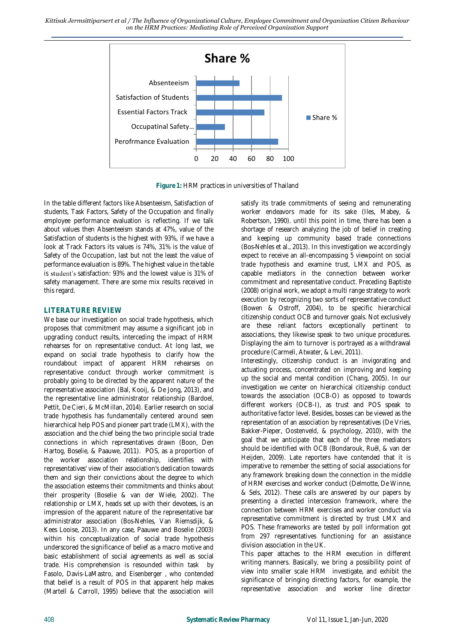

**Figure 1:** HRM practices in universities of Thailand

In the table different factors like Absenteeism, Satisfaction of students, Task Factors, Safety of the Occupation and finally employee performance evaluation is reflecting. If we talk about values then Absenteeism stands at 47%, value of the Satisfaction of students is the highest with 93%, if we have a look at Track Factors its values is 74%, 31% is the value of Safety of the Occupation, last but not the least the value of performance evaluation is 89%. The highest value in the table is student's satisfaction: 93% and the lowest value is 31% of safety management. There are some mix results received in this regard.

## **LITERATURE REVIEW**

We base our investigation on social trade hypothesis, which proposes that commitment may assume a significant job in upgrading conduct results, interceding the impact of HRM rehearses for on representative conduct. At long last, we expand on social trade hypothesis to clarify how the roundabout impact of apparent HRM rehearses on representative conduct through worker commitment is probably going to be directed by the apparent nature of the representative association (Bal, Kooij, & De Jong, 2013), and the representative line administrator relationship (Bardoel, Pettit, De Cieri, & McMillan, 2014). Earlier research on social trade hypothesis has fundamentally centered around seen hierarchical help POS and pioneer part trade (LMX), with the association and the chief being the two principle social trade connections in which representatives drawn (Boon, Den Hartog, Boselie, & Paauwe, 2011). POS, as a proportion of the worker association relationship, identifies with representatives' view of their association's dedication towards them and sign their convictions about the degree to which the association esteems their commitments and thinks about their prosperity (Boselie & van der Wiele, 2002). The relationship or LMX, heads set up with their devotees, is an impression of the apparent nature of the representative bar administrator association (Bos‐Nehles, Van Riemsdijk, & Kees Looise, 2013). In any case, Paauwe and Boselie (2003) within his conceptualization of social trade hypothesis underscored the significance of belief as a macro motive and basic establishment of social agreements as well as social trade. His comprehension is resounded within task by Fasolo, Davis-LaMastro, and Eisenberger , who contended that belief is a result of POS in that apparent help makes (Martell & Carroll, 1995) believe that the association will

satisfy its trade commitments of seeing and remunerating worker endeavors made for its sake (Iles, Mabey, & Robertson, 1990). until this point in time, there has been a shortage of research analyzing the job of belief in creating and keeping up community based trade connections (Bos‐Nehles et al., 2013). In this investigation we accordingly expect to receive an all-encompassing 5 viewpoint on social trade hypothesis and examine trust, LMX and POS, as capable mediators in the connection between worker commitment and representative conduct. Preceding Baptiste (2008) original work, we adopt a multi range strategy to work execution by recognizing two sorts of representative conduct (Bowen & Ostroff, 2004), to be specific hierarchical citizenship conduct OCB and turnover goals. Not exclusively are these reliant factors exceptionally pertinent to associations, they likewise speak to two unique procedures. Displaying the aim to turnover is portrayed as a withdrawal procedure (Carmeli, Atwater, & Levi, 2011).

Interestingly, citizenship conduct is an invigorating and actuating process, concentrated on improving and keeping up the social and mental condition (Chang, 2005). In our investigation we center on hierarchical citizenship conduct towards the association (OCB-O) as opposed to towards different workers (OCB-I), as trust and POS speak to authoritative factor level. Besides, bosses can be viewed as the representation of an association by representatives (De Vries, Bakker-Pieper, Oostenveld, & psychology, 2010), with the goal that we anticipate that each of the three mediators should be identified with OCB (Bondarouk, Ruël, & van der Heijden, 2009). Late reporters have contended that it is imperative to remember the setting of social associations for any framework breaking down the connection in the middle of HRM exercises and worker conduct (Delmotte, De Winne, & Sels, 2012). These calls are answered by our papers by presenting a directed intercession framework, where the connection between HRM exercises and worker conduct via representative commitment is directed by trust LMX and POS. These frameworks are tested by poll information got from 297 representatives functioning for an assistance division association in the UK.

This paper attaches to the HRM execution in different writing manners. Basically, we bring a possibility point of view into smaller scale HRM investigate, and exhibit the significance of bringing directing factors, for example, the representative association and worker line director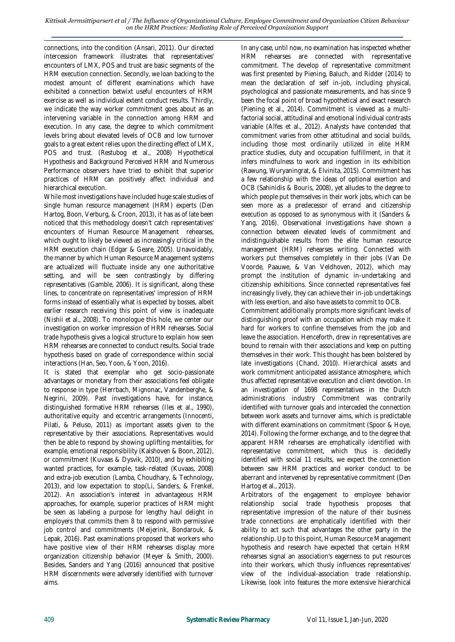connections, into the condition (Ansari, 2011). Our directed intercession framework illustrates that representatives' encounters of LMX, POS and trust are basic segments of the HRM execution connection. Secondly, we loan backing to the modest amount of different examinations which have exhibited a connection betwixt useful encounters of HRM exercise as well as individual extent conduct results. Thirdly, we indicate the way worker commitment goes about as an intervening variable in the connection among HRM and execution. In any case, the degree to which commitment levels bring about elevated levels of OCB and low turnover goals to a great extent relies upon the directing effect of LMX, POS and trust. (Restubog et al., 2008) Hypothetical Hypothesis and Background Perceived HRM and Numerous Performance observers have tried to exhibit that superior practices of HRM can positively affect individual and hierarchical execution.

While most investigations have included huge scale studies of single human resource management (HRM) experts (Den Hartog, Boon, Verburg, & Croon, 2013), it has as of late been noticed that this methodology doesn't catch representatives' encounters of Human Resource Management rehearses, which ought to likely be viewed as increasingly critical in the HRM execution chain (Edgar & Geare, 2005). Unavoidably, the manner by which Human Resource Management systems are actualized will fluctuate inside any one authoritative setting, and will be seen contrastingly by differing representatives (Gamble, 2006). It is significant, along these lines, to concentrate on representatives' impression of HRM forms instead of essentially what is expected by bosses, albeit earlier research receiving this point of view is inadequate (Nishii et al., 2008). To monologue this hole, we center our investigation on worker impression of HRM rehearses. Social trade hypothesis gives a logical structure to explain how seen HRM rehearses are connected to conduct results. Social trade hypothesis based on grade of correspondence within social interactions (Han, Seo, Yoon, & Yoon, 2016).

It is stated that exemplar who get socio-passionate advantages or monetary from their associations feel obligate to response in type (Herrbach, Mignonac, Vandenberghe, & Negrini, 2009). Past investigations have, for instance, distinguished formative HRM rehearses (Iles et al., 1990), authoritative equity and eccentric arrangements (Innocenti, Pilati, & Peluso, 2011) as important assets given to the representative by their associations. Representatives would then be able to respond by showing uplifting mentalities, for example, emotional responsibility (Kalshoven & Boon, 2012), or commitment (Kuvaas & Dysvik, 2010), and by exhibiting wanted practices, for example, task-related (Kuvaas, 2008) and extra-job execution (Lamba, Choudhary, & Technology, 2013), and low expectation to stop(Li, Sanders, & Frenkel, 2012). An association's interest in advantageous HRM approaches, for example, superior practices of HRM might be seen as labeling a purpose for lengthy haul delight in employers that commits them 8 to respond with permissive job control and commitments (Meijerink, Bondarouk, & Lepak, 2016). Past examinations proposed that workers who have positive view of their HRM rehearses display more organization citizenship behavior (Meyer & Smith, 2000). Besides, Sanders and Yang (2016) announced that positive HRM discernments were adversely identified with turnover aims.

In any case, until now, no examination has inspected whether HRM rehearses are connected with representative commitment. The develop of representative commitment was first presented by Piening, Baluch, and Ridder (2014) to mean the declaration of self in-job, including physical, psychological and passionate measurements, and has since 9 been the focal point of broad hypothetical and exact research (Piening et al., 2014). Commitment is viewed as a multifactorial social, attitudinal and emotional individual contrasts variable (Alfes et al., 2012). Analysts have contended that commitment varies from other attitudinal and social builds, including those most ordinarily utilized in elite HRM practice studies, duty and occupation fulfillment, in that it infers mindfulness to work and ingestion in its exhibition (Rawung, Wuryaningrat, & Elvinita, 2015). Commitment has a few relationship with the ideas of optional exertion and OCB (Sahinidis & Bouris, 2008), yet alludes to the degree to which people put themselves in their work jobs, which can be seen more as a predecessor of errand and citizenship execution as opposed to as synonymous with it (Sanders & Yang, 2016). Observational investigations have shown a connection between elevated levels of commitment and indistinguishable results from the elite human resource management (HRM) rehearses writing. Connected with workers put themselves completely in their jobs (Van De Voorde, Paauwe, & Van Veldhoven, 2012), which may prompt the institution of dynamic in-undertaking and citizenship exhibitions. Since connected representatives feel increasingly lively, they can achieve their in-job undertakings with less exertion, and also have assets to commit to OCB.

Commitment additionally prompts more significant levels of distinguishing proof with an occupation which may make it hard for workers to confine themselves from the job and leave the association. Henceforth, drew in representatives are bound to remain with their associations and keep on putting themselves in their work. This thought has been bolstered by late investigations (Chand, 2010). Hierarchical assets and work commitment anticipated assistance atmosphere, which thus affected representative execution and client devotion. In an investigation of 1698 representatives in the Dutch administrations industry Commitment was contrarily identified with turnover goals and interceded the connection between work assets and turnover aims, which is predictable with different examinations on commitment (Spoor & Hoye, 2014). Following the former exchange, and to the degree that apparent HRM rehearses are emphatically identified with representative commitment, which thus is decidedly identified with social 11 results, we expect the connection between saw HRM practices and worker conduct to be aberrant and intervened by representative commitment (Den Hartog et al., 2013).

Arbitrators of the engagement to employee behavior relationship social trade hypothesis proposes that representative impression of the nature of their business trade connections are emphatically identified with their ability to act such that advantages the other party in the relationship. Up to this point, Human Resource Management hypothesis and research have expected that certain HRM rehearses signal an association's eagerness to put resources into their workers, which thusly influences representatives' view of the individual-association trade relationship. Likewise, look into features the more extensive hierarchical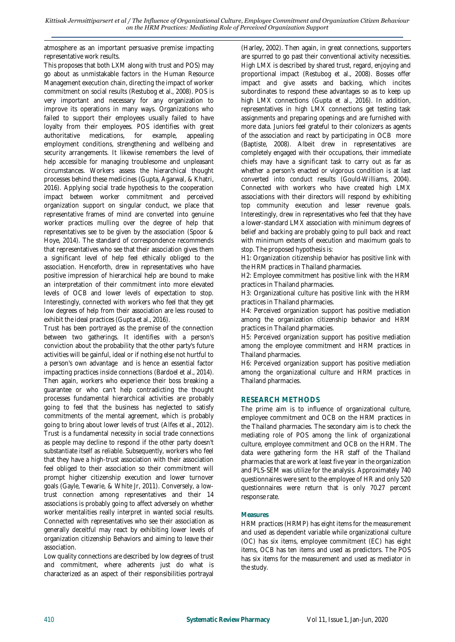atmosphere as an important persuasive premise impacting representative work results.

This proposes that both LXM along with trust and POS) may go about as unmistakable factors in the Human Resource Management execution chain, directing the impact of worker commitment on social results (Restubog et al., 2008). POS is very important and necessary for any organization to improve its operations in many ways. Organizations who failed to support their employees usually failed to have loyalty from their employees. POS identifies with great authoritative medications, for example, appealing employment conditions, strengthening and wellbeing and security arrangements. It likewise remembers the level of help accessible for managing troublesome and unpleasant circumstances. Workers assess the hierarchical thought processes behind these medicines (Gupta, Agarwal, & Khatri, 2016). Applying social trade hypothesis to the cooperation impact between worker commitment and perceived organization support on singular conduct, we place that representative frames of mind are converted into genuine worker practices mulling over the degree of help that representatives see to be given by the association (Spoor & Hoye, 2014). The standard of correspondence recommends that representatives who see that their association gives them a significant level of help feel ethically obliged to the association. Henceforth, drew in representatives who have positive impression of hierarchical help are bound to make an interpretation of their commitment into more elevated levels of OCB and lower levels of expectation to stop. Interestingly, connected with workers who feel that they get low degrees of help from their association are less roused to exhibit the ideal practices (Gupta et al., 2016).

Trust has been portrayed as the premise of the connection between two gatherings. It identifies with a person's conviction about the probability that the other party's future activities will be gainful, ideal or if nothing else not hurtful to a person's own advantage and is hence an essential factor impacting practices inside connections (Bardoel et al., 2014). Then again, workers who experience their boss breaking a guarantee or who can't help contradicting the thought processes fundamental hierarchical activities are probably going to feel that the business has neglected to satisfy commitments of the mental agreement, which is probably going to bring about lower levels of trust (Alfes et al., 2012). Trust is a fundamental necessity in social trade connections as people may decline to respond if the other party doesn't substantiate itself as reliable. Subsequently, workers who feel that they have a high-trust association with their association feel obliged to their association so their commitment will prompt higher citizenship execution and lower turnover goals (Gayle, Tewarie, & White Jr, 2011). Conversely, a lowtrust connection among representatives and their 14 associations is probably going to affect adversely on whether worker mentalities really interpret in wanted social results. Connected with representatives who see their association as generally deceitful may react by exhibiting lower levels of organization citizenship Behaviors and aiming to leave their association.

Low quality connections are described by low degrees of trust and commitment, where adherents just do what is characterized as an aspect of their responsibilities portrayal

(Harley, 2002). Then again, in great connections, supporters are spurred to go past their conventional activity necessities. High LMX is described by shared trust, regard, enjoying and proportional impact (Restubog et al., 2008). Bosses offer impact and give assets and backing, which incites subordinates to respond these advantages so as to keep up high LMX connections (Gupta et al., 2016). In addition, representatives in high LMX connections get testing task assignments and preparing openings and are furnished with more data. Juniors feel grateful to their colonizers as agents of the association and react by participating in OCB more (Baptiste, 2008). Albeit drew in representatives are completely engaged with their occupations, their immediate chiefs may have a significant task to carry out as far as whether a person's enacted or vigorous condition is at last converted into conduct results (Gould‐Williams, 2004). Connected with workers who have created high LMX associations with their directors will respond by exhibiting top community execution and lesser revenue goals. Interestingly, drew in representatives who feel that they have a lower-standard LMX association with minimum degrees of belief and backing are probably going to pull back and react with minimum extents of execution and maximum goals to stop. The proposed hypothesis is:

H1: Organization citizenship behavior has positive link with the HRM practices in Thailand pharmacies.

H2: Employee commitment has positive link with the HRM practices in Thailand pharmacies.

H3: Organizational culture has positive link with the HRM practices in Thailand pharmacies.

H4: Perceived organization support has positive mediation among the organization citizenship behavior and HRM practices in Thailand pharmacies.

H5: Perceived organization support has positive mediation among the employee commitment and HRM practices in Thailand pharmacies.

H6: Perceived organization support has positive mediation among the organizational culture and HRM practices in Thailand pharmacies.

# **RESEARCH METHODS**

The prime aim is to influence of organizational culture, employee commitment and OCB on the HRM practices in the Thailand pharmacies. The secondary aim is to check the mediating role of POS among the link of organizational culture, employee commitment and OCB on the HRM. The data were gathering form the HR staff of the Thailand pharmacies that are work at least five year in the organization and PLS-SEM was utilize for the analysis. Approximately 740 questionnaires were sent to the employee of HR and only 520 questionnaires were return that is only 70.27 percent response rate.

## **Measures**

HRM practices (HRMP) has eight items for the measurement and used as dependent variable while organizational culture (OC) has six items, employee commitment (EC) has eight items, OCB has ten items and used as predictors. The POS has six items for the measurement and used as mediator in the study.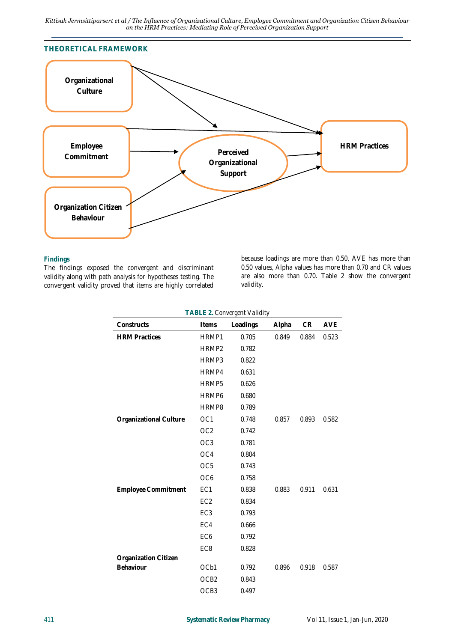

#### **Findings**

The findings exposed the convergent and discriminant validity along with path analysis for hypotheses testing. The convergent validity proved that items are highly correlated because loadings are more than 0.50, AVE has more than 0.50 values, Alpha values has more than 0.70 and CR values are also more than 0.70. Table 2 show the convergent validity.

**TABLE 2.** *Convergent Validity*

| Constructs             | Items            | Loadings | Alpha | ${\sf CR}$ | AVE   |
|------------------------|------------------|----------|-------|------------|-------|
| <b>HRM Practices</b>   | HRMP1            | 0.705    | 0.849 | 0.884      | 0.523 |
|                        | HRMP2            | 0.782    |       |            |       |
|                        | HRMP3            | 0.822    |       |            |       |
|                        | HRMP4            | 0.631    |       |            |       |
|                        | HRMP5            | 0.626    |       |            |       |
|                        | HRMP6            | 0.680    |       |            |       |
|                        | HRMP8            | 0.789    |       |            |       |
| Organizational Culture | OC <sub>1</sub>  | 0.748    | 0.857 | 0.893      | 0.582 |
|                        | OC <sub>2</sub>  | 0.742    |       |            |       |
|                        | OC <sub>3</sub>  | 0.781    |       |            |       |
|                        | OC4              | 0.804    |       |            |       |
|                        | OC <sub>5</sub>  | 0.743    |       |            |       |
|                        | OC <sub>6</sub>  | 0.758    |       |            |       |
| Employee Commitment    | EC1              | 0.838    | 0.883 | 0.911      | 0.631 |
|                        | EC <sub>2</sub>  | 0.834    |       |            |       |
|                        | EC <sub>3</sub>  | 0.793    |       |            |       |
|                        | EC4              | 0.666    |       |            |       |
|                        | EC <sub>6</sub>  | 0.792    |       |            |       |
|                        | EC <sub>8</sub>  | 0.828    |       |            |       |
| Organization Citizen   |                  |          |       |            |       |
| Behaviour              | OCb1             | 0.792    | 0.896 | 0.918      | 0.587 |
|                        | OCB <sub>2</sub> | 0.843    |       |            |       |
|                        | OCB3             | 0.497    |       |            |       |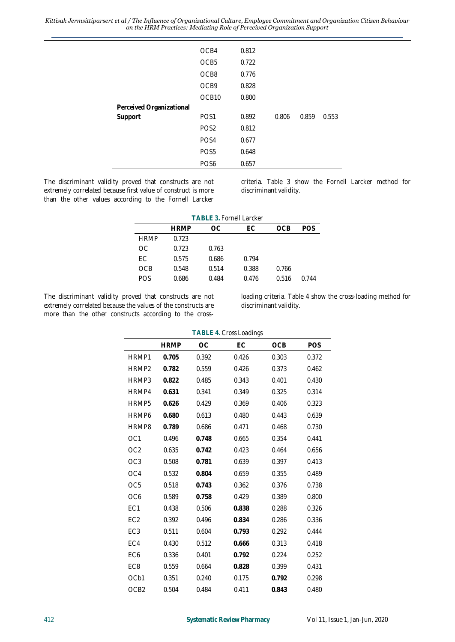|                          | OCB4              | 0.812 |       |       |       |
|--------------------------|-------------------|-------|-------|-------|-------|
|                          |                   |       |       |       |       |
|                          | OCB <sub>5</sub>  | 0.722 |       |       |       |
|                          | OCB8              | 0.776 |       |       |       |
|                          | OCB9              | 0.828 |       |       |       |
|                          | OCB <sub>10</sub> | 0.800 |       |       |       |
| Perceived Organizational |                   |       |       |       |       |
| Support                  | POS <sub>1</sub>  | 0.892 | 0.806 | 0.859 | 0.553 |
|                          | POS <sub>2</sub>  | 0.812 |       |       |       |
|                          | POS <sub>4</sub>  | 0.677 |       |       |       |
|                          | POS <sub>5</sub>  | 0.648 |       |       |       |
|                          | PO <sub>S6</sub>  | 0.657 |       |       |       |

The discriminant validity proved that constructs are not extremely correlated because first value of construct is more than the other values according to the Fornell Larcker criteria. Table 3 show the Fornell Larcker method for discriminant validity.

|             | TABLE 3. Fornell Larcker |       |       |       |       |  |  |  |
|-------------|--------------------------|-------|-------|-------|-------|--|--|--|
|             | OCB                      | POS   |       |       |       |  |  |  |
| <b>HRMP</b> | 0.723                    |       |       |       |       |  |  |  |
| OC.         | 0.723                    | 0.763 |       |       |       |  |  |  |
| FC.         | 0.575                    | 0.686 | 0.794 |       |       |  |  |  |
| OCB         | 0.548                    | 0.514 | 0.388 | 0.766 |       |  |  |  |
| POS         | 0.686                    | 0.484 | 0.476 | 0.516 | በ 744 |  |  |  |

The discriminant validity proved that constructs are not extremely correlated because the values of the constructs are more than the other constructs according to the crossloading criteria. Table 4 show the cross-loading method for discriminant validity.

|                   | TABLE 4. Cross Loadings |       |       |       |       |  |  |
|-------------------|-------------------------|-------|-------|-------|-------|--|--|
|                   | <b>HRMP</b>             | ОC    | EС    | OCB   | POS   |  |  |
| HRMP1             | 0.705                   | 0.392 | 0.426 | 0.303 | 0.372 |  |  |
| HRMP <sub>2</sub> | 0.782                   | 0.559 | 0.426 | 0.373 | 0.462 |  |  |
| HRMP3             | 0.822                   | 0.485 | 0.343 | 0.401 | 0.430 |  |  |
| HRMP4             | 0.631                   | 0.341 | 0.349 | 0.325 | 0.314 |  |  |
| HRMP <sub>5</sub> | 0.626                   | 0.429 | 0.369 | 0.406 | 0.323 |  |  |
| HRMP6             | 0.680                   | 0.613 | 0.480 | 0.443 | 0.639 |  |  |
| HRMP8             | 0.789                   | 0.686 | 0.471 | 0.468 | 0.730 |  |  |
| OC <sub>1</sub>   | 0.496                   | 0.748 | 0.665 | 0.354 | 0.441 |  |  |
| OC <sub>2</sub>   | 0.635                   | 0.742 | 0.423 | 0.464 | 0.656 |  |  |
| OC <sub>3</sub>   | 0.508                   | 0.781 | 0.639 | 0.397 | 0.413 |  |  |
| OC4               | 0.532                   | 0.804 | 0.659 | 0.355 | 0.489 |  |  |
| OC <sub>5</sub>   | 0.518                   | 0.743 | 0.362 | 0.376 | 0.738 |  |  |
| OC <sub>6</sub>   | 0.589                   | 0.758 | 0.429 | 0.389 | 0.800 |  |  |
| EC1               | 0.438                   | 0.506 | 0.838 | 0.288 | 0.326 |  |  |
| EC <sub>2</sub>   | 0.392                   | 0.496 | 0.834 | 0.286 | 0.336 |  |  |
| EC <sub>3</sub>   | 0.511                   | 0.604 | 0.793 | 0.292 | 0.444 |  |  |
| EC4               | 0.430                   | 0.512 | 0.666 | 0.313 | 0.418 |  |  |
| EC <sub>6</sub>   | 0.336                   | 0.401 | 0.792 | 0.224 | 0.252 |  |  |
| EC <sub>8</sub>   | 0.559                   | 0.664 | 0.828 | 0.399 | 0.431 |  |  |
| OCb1              | 0.351                   | 0.240 | 0.175 | 0.792 | 0.298 |  |  |
| OCB <sub>2</sub>  | 0.504                   | 0.484 | 0.411 | 0.843 | 0.480 |  |  |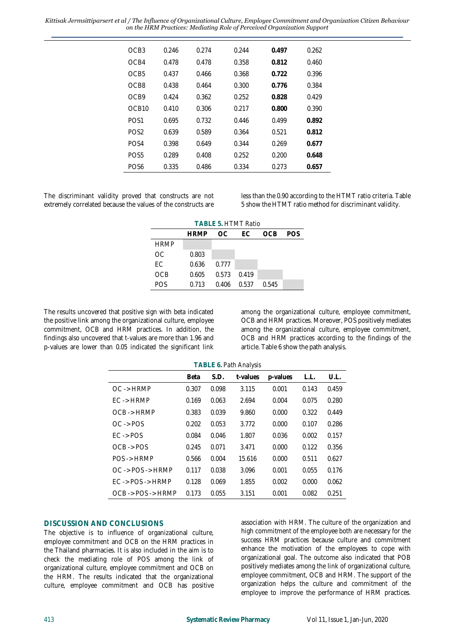| OCB3             | 0.246 | 0.274 | 0.244 | 0.497 | 0.262 |
|------------------|-------|-------|-------|-------|-------|
| OC <sub>B4</sub> | 0.478 | 0.478 | 0.358 | 0.812 | 0.460 |
| OCB <sub>5</sub> | 0.437 | 0.466 | 0.368 | 0.722 | 0.396 |
| OC <sub>B8</sub> | 0.438 | 0.464 | 0.300 | 0.776 | 0.384 |
| OC <sub>B9</sub> | 0.424 | 0.362 | 0.252 | 0.828 | 0.429 |
| OCR10            | 0.410 | 0.306 | 0.217 | 0.800 | 0.390 |
| PO <sub>S1</sub> | 0.695 | 0.732 | 0.446 | 0.499 | 0.892 |
| POS <sub>2</sub> | 0.639 | 0.589 | 0.364 | 0.521 | 0.812 |
| PO <sub>S4</sub> | 0.398 | 0.649 | 0.344 | 0.269 | 0.677 |
| POS <sub>5</sub> | 0.289 | 0.408 | 0.252 | 0.200 | 0.648 |
| POS6             | 0.335 | 0.486 | 0.334 | 0.273 | 0.657 |
|                  |       |       |       |       |       |

The discriminant validity proved that constructs are not extremely correlated because the values of the constructs are less than the 0.90 according to the HTMT ratio criteria. Table 5 show the HTMT ratio method for discriminant validity.

| <b>TABLE 5. HTMT Ratio</b>        |       |       |       |       |  |  |
|-----------------------------------|-------|-------|-------|-------|--|--|
| - EC<br><b>HRMP</b><br>OCB<br>OC. |       |       |       |       |  |  |
| <b>HRMP</b>                       |       |       |       |       |  |  |
| OC.                               | 0.803 |       |       |       |  |  |
| FC.                               | 0.636 | 0.777 |       |       |  |  |
| OCB                               | 0.605 | 0.573 | 0.419 |       |  |  |
| <b>POS</b>                        | 0.713 | 0.406 | 0.537 | 0.545 |  |  |

The results uncovered that positive sign with beta indicated the positive link among the organizational culture, employee commitment, OCB and HRM practices. In addition, the findings also uncovered that t-values are more than 1.96 and p-values are lower than 0.05 indicated the significant link

among the organizational culture, employee commitment, OCB and HRM practices. Moreover, POS positively mediates among the organizational culture, employee commitment, OCB and HRM practices according to the findings of the article. Table 6 show the path analysis.

| TABLE 6. Path Analysis                               |       |       |        |       |       |       |
|------------------------------------------------------|-------|-------|--------|-------|-------|-------|
| U.L.<br>S.D.<br>t-values<br>Beta<br>p-values<br>L.L. |       |       |        |       |       |       |
| $OC \rightarrow HRMP$                                | 0.307 | 0.098 | 3.115  | 0.001 | 0.143 | 0.459 |
| $FC \rightarrow HRMP$                                | 0.169 | 0.063 | 2.694  | 0.004 | 0.075 | 0.280 |
| $OCB \rightarrow HRMP$                               | 0.383 | 0.039 | 9.860  | 0.000 | 0.322 | 0.449 |
| $OC \rightarrow POS$                                 | 0.202 | 0.053 | 3.772  | 0.000 | 0.107 | 0.286 |
| $FC \rightarrow POS$                                 | 0.084 | 0.046 | 1.807  | 0.036 | 0.002 | 0.157 |
| $OCB \rightarrow POS$                                | 0.245 | 0.071 | 3.471  | 0.000 | 0.122 | 0.356 |
| POS -> HRMP                                          | 0.566 | 0.004 | 15.616 | 0.000 | 0.511 | 0.627 |
| $OC \rightarrow POS \rightarrow HRMP$                | 0.117 | 0.038 | 3.096  | 0.001 | 0.055 | 0.176 |
| $FC \rightarrow POS \rightarrow HRMP$                | 0.128 | 0.069 | 1.855  | 0.002 | 0.000 | 0.062 |
| $OCB \rightarrow POS \rightarrow HRMP$               | 0.173 | 0.055 | 3.151  | 0.001 | 0.082 | 0.251 |

## **DISCUSSION AND CONCLUSIONS**

The objective is to influence of organizational culture, employee commitment and OCB on the HRM practices in the Thailand pharmacies. It is also included in the aim is to check the mediating role of POS among the link of organizational culture, employee commitment and OCB on the HRM. The results indicated that the organizational culture, employee commitment and OCB has positive association with HRM. The culture of the organization and high commitment of the employee both are necessary for the success HRM practices because culture and commitment enhance the motivation of the employees to cope with organizational goal. The outcome also indicated that POB positively mediates among the link of organizational culture, employee commitment, OCB and HRM. The support of the organization helps the culture and commitment of the employee to improve the performance of HRM practices.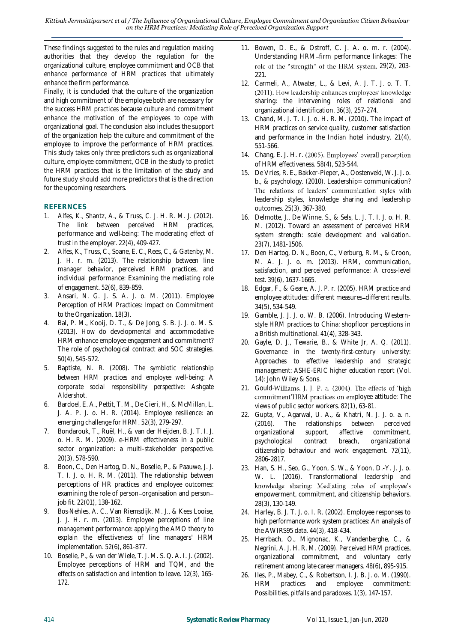These findings suggested to the rules and regulation making authorities that they develop the regulation for the organizational culture, employee commitment and OCB that enhance performance of HRM practices that ultimately enhance the firm performance.

Finally, it is concluded that the culture of the organization and high commitment of the employee both are necessary for the success HRM practices because culture and commitment enhance the motivation of the employees to cope with organizational goal. The conclusion also includes the support of the organization help the culture and commitment of the employee to improve the performance of HRM practices. This study takes only three predictors such as organizational culture, employee commitment, OCB in the study to predict the HRM practices that is the limitation of the study and future study should add more predictors that is the direction for the upcoming researchers.

# **REFERNCES**

- 1. Alfes, K., Shantz, A., & Truss, C. J. H. R. M. J. (2012). The link between perceived HRM practices, performance and well-being: The moderating effect of trust in the employer. *22*(4), 409-427.
- 2. Alfes, K., Truss, C., Soane, E. C., Rees, C., & Gatenby, M. J. H. r. m. (2013). The relationship between line manager behavior, perceived HRM practices, and individual performance: Examining the mediating role of engagement. *52*(6), 839-859.
- 3. Ansari, N. G. J. S. A. J. o. M. (2011). Employee Perception of HRM Practices: Impact on Commitment to the Organization. *18*(3).
- 4. Bal, P. M., Kooij, D. T., & De Jong, S. B. J. J. o. M. S. (2013). How do developmental and accommodative HRM enhance employee engagement and commitment? The role of psychological contract and SOC strategies. *50*(4), 545-572.
- 5. Baptiste, N. R. (2008). *The symbiotic relationship between HRM practices and employee well-being: A corporate social responsibility perspective*: Ashgate Aldershot.
- 6. Bardoel, E. A., Pettit, T. M., De Cieri, H., & McMillan, L. J. A. P. J. o. H. R. (2014). Employee resilience: an emerging challenge for HRM. *52*(3), 279-297.
- 7. Bondarouk, T., Ruël, H., & van der Heijden, B. J. T. I. J. o. H. R. M. (2009). e-HRM effectiveness in a public sector organization: a multi-stakeholder perspective. *20*(3), 578-590.
- 8. Boon, C., Den Hartog, D. N., Boselie, P., & Paauwe, J. J. T. I. J. o. H. R. M. (2011). The relationship between perceptions of HR practices and employee outcomes: examining the role of person-organisation and personjob fit. *22*(01), 138-162.
- 9. Bos‐Nehles, A. C., Van Riemsdijk, M. J., & Kees Looise, J. J. H. r. m. (2013). Employee perceptions of line management performance: applying the AMO theory to explain the effectiveness of line managers' HRM implementation. *52*(6), 861-877.
- 10. Boselie, P., & van der Wiele, T. J. M. S. Q. A. I. J. (2002). Employee perceptions of HRM and TQM, and the effects on satisfaction and intention to leave. *12*(3), 165- 172.
- 11. Bowen, D. E., & Ostroff, C. J. A. o. m. r. (2004). Understanding HRM-firm performance linkages: The role of the "strength" of the HRM system. 29(2), 203-221.
- 12. Carmeli, A., Atwater, L., & Levi, A. J. T. J. o. T. T. (2011). How leadership enhances employees' knowledge sharing: the intervening roles of relational and organizational identification. *36*(3), 257-274.
- 13. Chand, M. J. T. I. J. o. H. R. M. (2010). The impact of HRM practices on service quality, customer satisfaction and performance in the Indian hotel industry. *21*(4), 551-566.
- 14. Chang, E. J. H. r. (2005). Employees' overall perception of HRM effectiveness. *58*(4), 523-544.
- 15. De Vries, R. E., Bakker-Pieper, A., Oostenveld, W. J. J. o. b., & psychology. (2010). Leadership= communication? The relations of leaders' communication styles with leadership styles, knowledge sharing and leadership outcomes. *25*(3), 367-380.
- 16. Delmotte, J., De Winne, S., & Sels, L. J. T. I. J. o. H. R. M. (2012). Toward an assessment of perceived HRM system strength: scale development and validation. *23*(7), 1481-1506.
- 17. Den Hartog, D. N., Boon, C., Verburg, R. M., & Croon, M. A. J. J. o. m. (2013). HRM, communication, satisfaction, and perceived performance: A cross-level test. *39*(6), 1637-1665.
- 18. Edgar, F., & Geare, A. J. P. r. (2005). HRM practice and employee attitudes: different measures-different results. *34*(5), 534-549.
- 19. Gamble, J. J. J. o. W. B. (2006). Introducing Westernstyle HRM practices to China: shopfloor perceptions in a British multinational. *41*(4), 328-343.
- 20. Gayle, D. J., Tewarie, B., & White Jr, A. Q. (2011). *Governance in the twenty-first-century university: Approaches to effective leadership and strategic management: ASHE-ERIC higher education report* (Vol. 14): John Wiley & Sons.
- 21. Gould-Williams, J. J. P. a. (2004). The effects of 'high commitment'HRM practices on employee attitude: The views of public sector workers. *82*(1), 63-81.
- 22. Gupta, V., Agarwal, U. A., & Khatri, N. J. J. o. a. n. (2016). The relationships between perceived organizational support, affective commitment, psychological contract breach, organizational citizenship behaviour and work engagement. *72*(11), 2806-2817.
- 23. Han, S. H., Seo, G., Yoon, S. W., & Yoon, D.-Y. J. J. o. W. L. (2016). Transformational leadership and knowledge sharing: Mediating roles of employee's empowerment, commitment, and citizenship behaviors. *28*(3), 130-149.
- 24. Harley, B. J. T. J. o. I. R. (2002). Employee responses to high performance work system practices: An analysis of the AWIRS95 data. *44*(3), 418-434.
- 25. Herrbach, O., Mignonac, K., Vandenberghe, C., & Negrini, A. J. H. R. M. (2009). Perceived HRM practices, organizational commitment, and voluntary early retirement among late‐career managers. *48*(6), 895-915.
- 26. Iles, P., Mabey, C., & Robertson, I. J. B. J. o. M. (1990). HRM practices and employee commitment: Possibilities, pitfalls and paradoxes. *1*(3), 147-157.